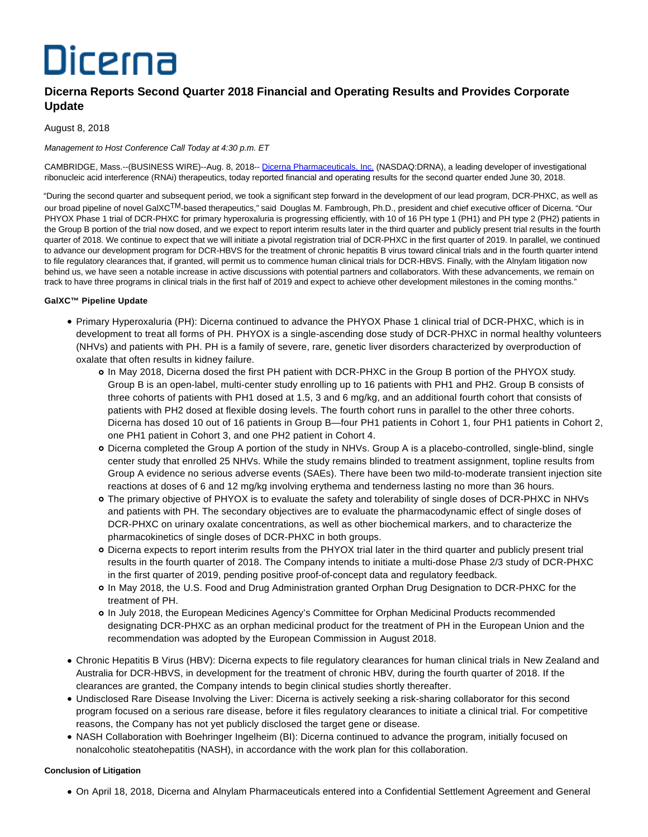# Dicerna

## **Dicerna Reports Second Quarter 2018 Financial and Operating Results and Provides Corporate Update**

## August 8, 2018

Management to Host Conference Call Today at 4:30 p.m. ET

CAMBRIDGE, Mass.--(BUSINESS WIRE)--Aug. 8, 2018-- [Dicerna Pharmaceuticals, Inc. \(](http://cts.businesswire.com/ct/CT?id=smartlink&url=http%3A%2F%2Fdicerna.com%2F&esheet=51850280&newsitemid=20180808005702&lan=en-US&anchor=Dicerna+Pharmaceuticals%2C+Inc.&index=1&md5=612c9d15a0e9f816009216297856aaa2)NASDAQ:DRNA), a leading developer of investigational ribonucleic acid interference (RNAi) therapeutics, today reported financial and operating results for the second quarter ended June 30, 2018.

"During the second quarter and subsequent period, we took a significant step forward in the development of our lead program, DCR-PHXC, as well as our broad pipeline of novel GalXC<sup>TM</sup>-based therapeutics," said Douglas M. Fambrough, Ph.D., president and chief executive officer of Dicerna. "Our PHYOX Phase 1 trial of DCR-PHXC for primary hyperoxaluria is progressing efficiently, with 10 of 16 PH type 1 (PH1) and PH type 2 (PH2) patients in the Group B portion of the trial now dosed, and we expect to report interim results later in the third quarter and publicly present trial results in the fourth quarter of 2018. We continue to expect that we will initiate a pivotal registration trial of DCR-PHXC in the first quarter of 2019. In parallel, we continued to advance our development program for DCR-HBVS for the treatment of chronic hepatitis B virus toward clinical trials and in the fourth quarter intend to file regulatory clearances that, if granted, will permit us to commence human clinical trials for DCR-HBVS. Finally, with the Alnylam litigation now behind us, we have seen a notable increase in active discussions with potential partners and collaborators. With these advancements, we remain on track to have three programs in clinical trials in the first half of 2019 and expect to achieve other development milestones in the coming months."

## **GalXC™ Pipeline Update**

- Primary Hyperoxaluria (PH): Dicerna continued to advance the PHYOX Phase 1 clinical trial of DCR-PHXC, which is in development to treat all forms of PH. PHYOX is a single-ascending dose study of DCR-PHXC in normal healthy volunteers (NHVs) and patients with PH. PH is a family of severe, rare, genetic liver disorders characterized by overproduction of oxalate that often results in kidney failure.
	- o In May 2018, Dicerna dosed the first PH patient with DCR-PHXC in the Group B portion of the PHYOX study. Group B is an open-label, multi-center study enrolling up to 16 patients with PH1 and PH2. Group B consists of three cohorts of patients with PH1 dosed at 1.5, 3 and 6 mg/kg, and an additional fourth cohort that consists of patients with PH2 dosed at flexible dosing levels. The fourth cohort runs in parallel to the other three cohorts. Dicerna has dosed 10 out of 16 patients in Group B—four PH1 patients in Cohort 1, four PH1 patients in Cohort 2, one PH1 patient in Cohort 3, and one PH2 patient in Cohort 4.
	- Dicerna completed the Group A portion of the study in NHVs. Group A is a placebo-controlled, single-blind, single center study that enrolled 25 NHVs. While the study remains blinded to treatment assignment, topline results from Group A evidence no serious adverse events (SAEs). There have been two mild-to-moderate transient injection site reactions at doses of 6 and 12 mg/kg involving erythema and tenderness lasting no more than 36 hours.
	- The primary objective of PHYOX is to evaluate the safety and tolerability of single doses of DCR-PHXC in NHVs and patients with PH. The secondary objectives are to evaluate the pharmacodynamic effect of single doses of DCR-PHXC on urinary oxalate concentrations, as well as other biochemical markers, and to characterize the pharmacokinetics of single doses of DCR-PHXC in both groups.
	- Dicerna expects to report interim results from the PHYOX trial later in the third quarter and publicly present trial results in the fourth quarter of 2018. The Company intends to initiate a multi-dose Phase 2/3 study of DCR-PHXC in the first quarter of 2019, pending positive proof-of-concept data and regulatory feedback.
	- In May 2018, the U.S. Food and Drug Administration granted Orphan Drug Designation to DCR-PHXC for the treatment of PH.
	- In July 2018, the European Medicines Agency's Committee for Orphan Medicinal Products recommended designating DCR-PHXC as an orphan medicinal product for the treatment of PH in the European Union and the recommendation was adopted by the European Commission in August 2018.
- Chronic Hepatitis B Virus (HBV): Dicerna expects to file regulatory clearances for human clinical trials in New Zealand and Australia for DCR-HBVS, in development for the treatment of chronic HBV, during the fourth quarter of 2018. If the clearances are granted, the Company intends to begin clinical studies shortly thereafter.
- Undisclosed Rare Disease Involving the Liver: Dicerna is actively seeking a risk-sharing collaborator for this second program focused on a serious rare disease, before it files regulatory clearances to initiate a clinical trial. For competitive reasons, the Company has not yet publicly disclosed the target gene or disease.
- NASH Collaboration with Boehringer Ingelheim (BI): Dicerna continued to advance the program, initially focused on nonalcoholic steatohepatitis (NASH), in accordance with the work plan for this collaboration.

## **Conclusion of Litigation**

On April 18, 2018, Dicerna and Alnylam Pharmaceuticals entered into a Confidential Settlement Agreement and General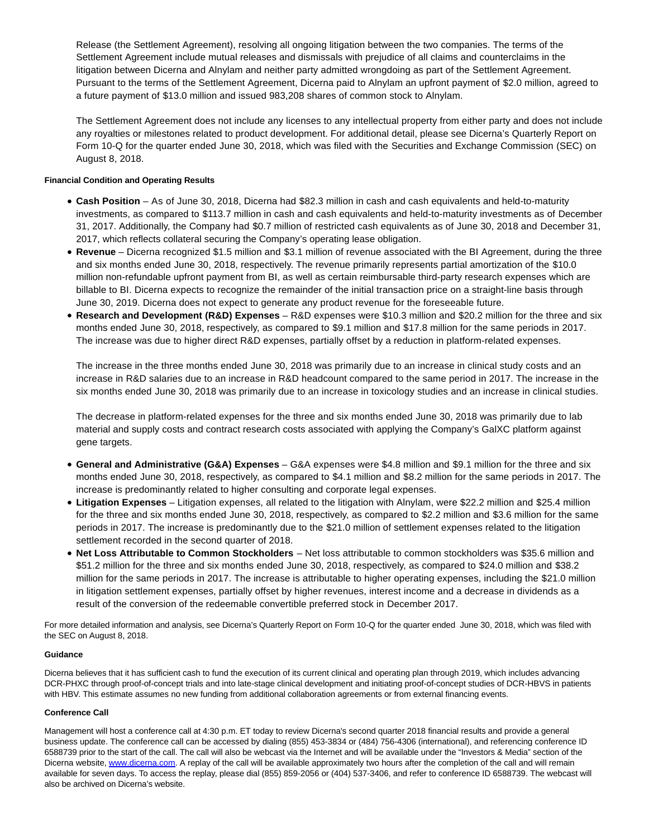Release (the Settlement Agreement), resolving all ongoing litigation between the two companies. The terms of the Settlement Agreement include mutual releases and dismissals with prejudice of all claims and counterclaims in the litigation between Dicerna and Alnylam and neither party admitted wrongdoing as part of the Settlement Agreement. Pursuant to the terms of the Settlement Agreement, Dicerna paid to Alnylam an upfront payment of \$2.0 million, agreed to a future payment of \$13.0 million and issued 983,208 shares of common stock to Alnylam.

The Settlement Agreement does not include any licenses to any intellectual property from either party and does not include any royalties or milestones related to product development. For additional detail, please see Dicerna's Quarterly Report on Form 10-Q for the quarter ended June 30, 2018, which was filed with the Securities and Exchange Commission (SEC) on August 8, 2018.

## **Financial Condition and Operating Results**

- **Cash Position** As of June 30, 2018, Dicerna had \$82.3 million in cash and cash equivalents and held-to-maturity investments, as compared to \$113.7 million in cash and cash equivalents and held-to-maturity investments as of December 31, 2017. Additionally, the Company had \$0.7 million of restricted cash equivalents as of June 30, 2018 and December 31, 2017, which reflects collateral securing the Company's operating lease obligation.
- **Revenue** Dicerna recognized \$1.5 million and \$3.1 million of revenue associated with the BI Agreement, during the three and six months ended June 30, 2018, respectively. The revenue primarily represents partial amortization of the \$10.0 million non-refundable upfront payment from BI, as well as certain reimbursable third-party research expenses which are billable to BI. Dicerna expects to recognize the remainder of the initial transaction price on a straight-line basis through June 30, 2019. Dicerna does not expect to generate any product revenue for the foreseeable future.
- **Research and Development (R&D) Expenses** R&D expenses were \$10.3 million and \$20.2 million for the three and six months ended June 30, 2018, respectively, as compared to \$9.1 million and \$17.8 million for the same periods in 2017. The increase was due to higher direct R&D expenses, partially offset by a reduction in platform-related expenses.

The increase in the three months ended June 30, 2018 was primarily due to an increase in clinical study costs and an increase in R&D salaries due to an increase in R&D headcount compared to the same period in 2017. The increase in the six months ended June 30, 2018 was primarily due to an increase in toxicology studies and an increase in clinical studies.

The decrease in platform-related expenses for the three and six months ended June 30, 2018 was primarily due to lab material and supply costs and contract research costs associated with applying the Company's GalXC platform against gene targets.

- **General and Administrative (G&A) Expenses** G&A expenses were \$4.8 million and \$9.1 million for the three and six months ended June 30, 2018, respectively, as compared to \$4.1 million and \$8.2 million for the same periods in 2017. The increase is predominantly related to higher consulting and corporate legal expenses.
- **Litigation Expenses** Litigation expenses, all related to the litigation with Alnylam, were \$22.2 million and \$25.4 million for the three and six months ended June 30, 2018, respectively, as compared to \$2.2 million and \$3.6 million for the same periods in 2017. The increase is predominantly due to the \$21.0 million of settlement expenses related to the litigation settlement recorded in the second quarter of 2018.
- **Net Loss Attributable to Common Stockholders**  Net loss attributable to common stockholders was \$35.6 million and \$51.2 million for the three and six months ended June 30, 2018, respectively, as compared to \$24.0 million and \$38.2 million for the same periods in 2017. The increase is attributable to higher operating expenses, including the \$21.0 million in litigation settlement expenses, partially offset by higher revenues, interest income and a decrease in dividends as a result of the conversion of the redeemable convertible preferred stock in December 2017.

For more detailed information and analysis, see Dicerna's Quarterly Report on Form 10-Q for the quarter ended June 30, 2018, which was filed with the SEC on August 8, 2018.

#### **Guidance**

Dicerna believes that it has sufficient cash to fund the execution of its current clinical and operating plan through 2019, which includes advancing DCR-PHXC through proof-of-concept trials and into late-stage clinical development and initiating proof-of-concept studies of DCR-HBVS in patients with HBV. This estimate assumes no new funding from additional collaboration agreements or from external financing events.

#### **Conference Call**

Management will host a conference call at 4:30 p.m. ET today to review Dicerna's second quarter 2018 financial results and provide a general business update. The conference call can be accessed by dialing (855) 453-3834 or (484) 756-4306 (international), and referencing conference ID 6588739 prior to the start of the call. The call will also be webcast via the Internet and will be available under the "Investors & Media" section of the Dicerna website, [www.dicerna.com.](http://www.dicerna.com/) A replay of the call will be available approximately two hours after the completion of the call and will remain available for seven days. To access the replay, please dial (855) 859-2056 or (404) 537-3406, and refer to conference ID 6588739. The webcast will also be archived on Dicerna's website.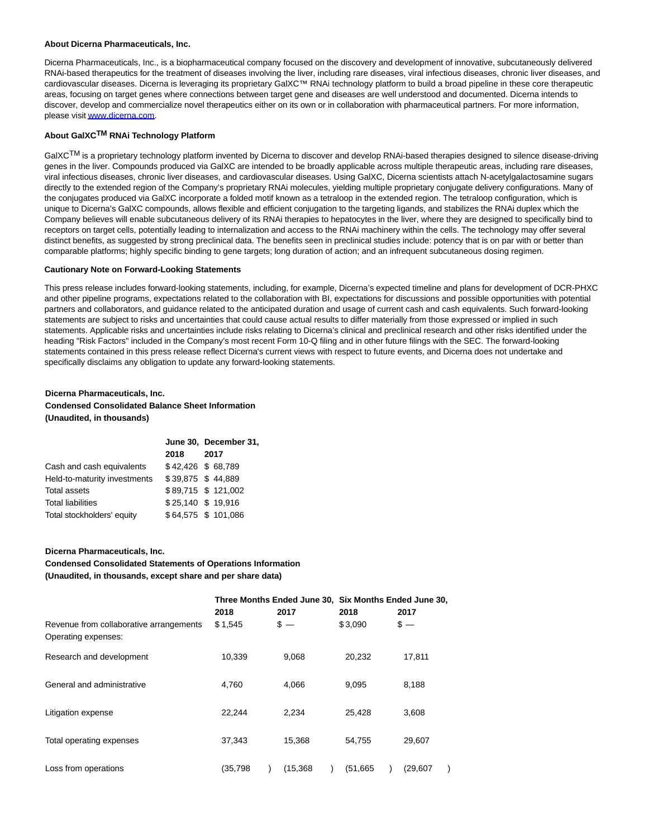#### **About Dicerna Pharmaceuticals, Inc.**

Dicerna Pharmaceuticals, Inc., is a biopharmaceutical company focused on the discovery and development of innovative, subcutaneously delivered RNAi-based therapeutics for the treatment of diseases involving the liver, including rare diseases, viral infectious diseases, chronic liver diseases, and cardiovascular diseases. Dicerna is leveraging its proprietary GalXC™ RNAi technology platform to build a broad pipeline in these core therapeutic areas, focusing on target genes where connections between target gene and diseases are well understood and documented. Dicerna intends to discover, develop and commercialize novel therapeutics either on its own or in collaboration with pharmaceutical partners. For more information, please visi[t www.dicerna.com.](http://cts.businesswire.com/ct/CT?id=smartlink&url=http%3A%2F%2Fwww.dicerna.com&esheet=51850280&newsitemid=20180808005702&lan=en-US&anchor=www.dicerna.com&index=3&md5=db1b6301e5fa679e0b8738d62b1abfd0)

## **About GalXCTM RNAi Technology Platform**

GalXC<sup>TM</sup> is a proprietary technology platform invented by Dicerna to discover and develop RNAi-based therapies designed to silence disease-driving genes in the liver. Compounds produced via GalXC are intended to be broadly applicable across multiple therapeutic areas, including rare diseases, viral infectious diseases, chronic liver diseases, and cardiovascular diseases. Using GalXC, Dicerna scientists attach N-acetylgalactosamine sugars directly to the extended region of the Company's proprietary RNAi molecules, yielding multiple proprietary conjugate delivery configurations. Many of the conjugates produced via GalXC incorporate a folded motif known as a tetraloop in the extended region. The tetraloop configuration, which is unique to Dicerna's GalXC compounds, allows flexible and efficient conjugation to the targeting ligands, and stabilizes the RNAi duplex which the Company believes will enable subcutaneous delivery of its RNAi therapies to hepatocytes in the liver, where they are designed to specifically bind to receptors on target cells, potentially leading to internalization and access to the RNAi machinery within the cells. The technology may offer several distinct benefits, as suggested by strong preclinical data. The benefits seen in preclinical studies include: potency that is on par with or better than comparable platforms; highly specific binding to gene targets; long duration of action; and an infrequent subcutaneous dosing regimen.

#### **Cautionary Note on Forward-Looking Statements**

This press release includes forward-looking statements, including, for example, Dicerna's expected timeline and plans for development of DCR-PHXC and other pipeline programs, expectations related to the collaboration with BI, expectations for discussions and possible opportunities with potential partners and collaborators, and guidance related to the anticipated duration and usage of current cash and cash equivalents. Such forward-looking statements are subject to risks and uncertainties that could cause actual results to differ materially from those expressed or implied in such statements. Applicable risks and uncertainties include risks relating to Dicerna's clinical and preclinical research and other risks identified under the heading "Risk Factors" included in the Company's most recent Form 10-Q filing and in other future filings with the SEC. The forward-looking statements contained in this press release reflect Dicerna's current views with respect to future events, and Dicerna does not undertake and specifically disclaims any obligation to update any forward-looking statements.

## **Dicerna Pharmaceuticals, Inc. Condensed Consolidated Balance Sheet Information (Unaudited, in thousands)**

|                              |      | June 30, December 31, |
|------------------------------|------|-----------------------|
|                              | 2018 | 2017                  |
| Cash and cash equivalents    |      | \$42,426 \$68,789     |
| Held-to-maturity investments |      | \$39,875 \$44,889     |
| <b>Total assets</b>          |      | \$89,715 \$121,002    |
| <b>Total liabilities</b>     |      | \$25,140 \$19,916     |
| Total stockholders' equity   |      | \$64,575 \$101,086    |

#### **Dicerna Pharmaceuticals, Inc.**

## **Condensed Consolidated Statements of Operations Information (Unaudited, in thousands, except share and per share data)**

|                                                                | 2018    | 2017      | Three Months Ended June 30, Six Months Ended June 30,<br>2018<br>2017 |           |  |  |
|----------------------------------------------------------------|---------|-----------|-----------------------------------------------------------------------|-----------|--|--|
| Revenue from collaborative arrangements<br>Operating expenses: | \$1,545 | $s -$     | \$3,090                                                               | $s -$     |  |  |
| Research and development                                       | 10,339  | 9,068     | 20,232                                                                | 17,811    |  |  |
| General and administrative                                     | 4,760   | 4,066     | 9,095                                                                 | 8,188     |  |  |
| Litigation expense                                             | 22.244  | 2.234     | 25.428                                                                | 3,608     |  |  |
| Total operating expenses                                       | 37,343  | 15,368    | 54,755                                                                | 29,607    |  |  |
| Loss from operations                                           | (35,798 | (15, 368) | (51,665)                                                              | (29, 607) |  |  |